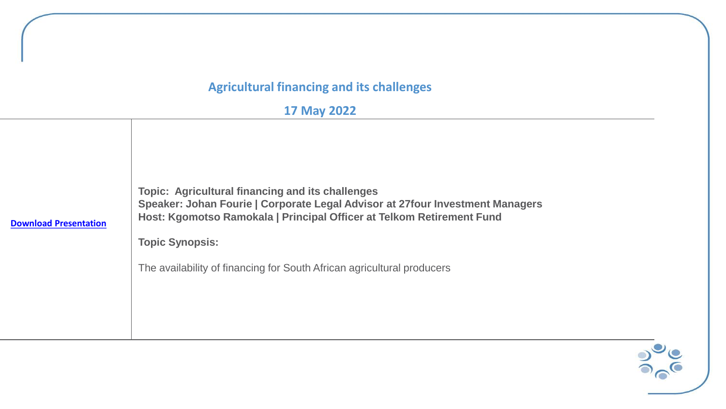## **Agricultural financing and its challenges**

## **17 May 2022**

| <b>Download Presentation</b> | <b>Topic: Agricultural financing and its challenges</b><br>Speaker: Johan Fourie   Corporate Legal Advisor at 27 four Investment Managers<br>Host: Kgomotso Ramokala   Principal Officer at Telkom Retirement Fund<br><b>Topic Synopsis:</b><br>The availability of financing for South African agricultural producers |
|------------------------------|------------------------------------------------------------------------------------------------------------------------------------------------------------------------------------------------------------------------------------------------------------------------------------------------------------------------|
|------------------------------|------------------------------------------------------------------------------------------------------------------------------------------------------------------------------------------------------------------------------------------------------------------------------------------------------------------------|

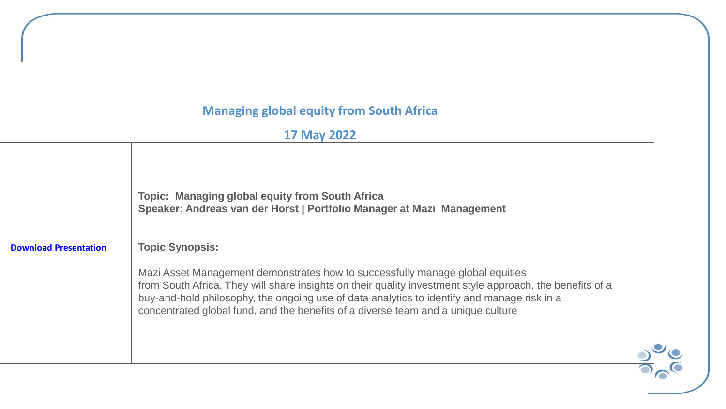## **Managing global equity from South Africa**

## **17 May 2022**

|                              | <b>Topic: Managing global equity from South Africa</b><br>Speaker: Andreas van der Horst   Portfolio Manager at Mazi Management                                                                                                                                                                                                                                                |
|------------------------------|--------------------------------------------------------------------------------------------------------------------------------------------------------------------------------------------------------------------------------------------------------------------------------------------------------------------------------------------------------------------------------|
| <b>Download Presentation</b> | <b>Topic Synopsis:</b>                                                                                                                                                                                                                                                                                                                                                         |
|                              | Mazi Asset Management demonstrates how to successfully manage global equities<br>from South Africa. They will share insights on their quality investment style approach, the benefits of a<br>buy-and-hold philosophy, the ongoing use of data analytics to identify and manage risk in a<br>concentrated global fund, and the benefits of a diverse team and a unique culture |

 $rac{1}{\sqrt{2}}$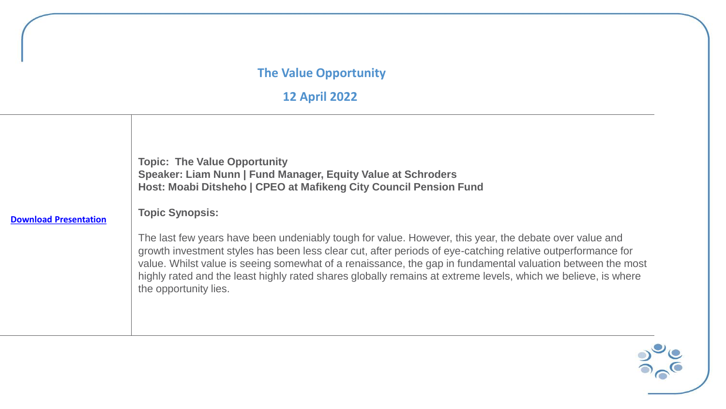#### **The Value Opportunity**

**12 April 2022**



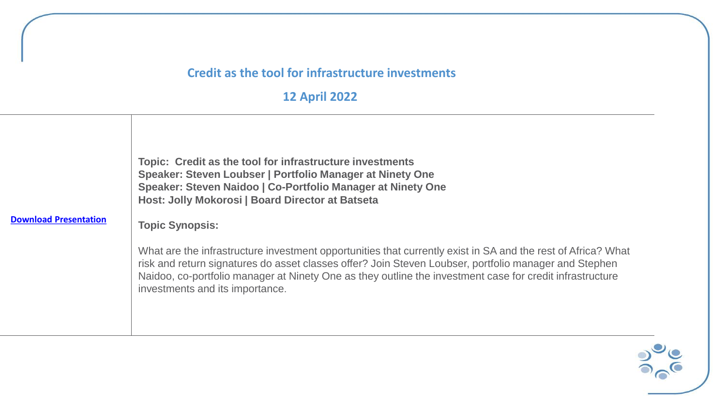#### **Credit as the tool for infrastructure investments**

**12 April 2022**



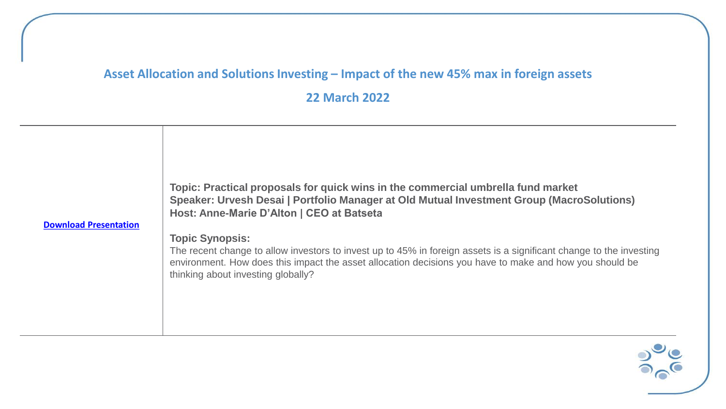## Asset Allocation and Solutions Investing – Impact of the new 45% max in foreign assets

**22 March 2022**



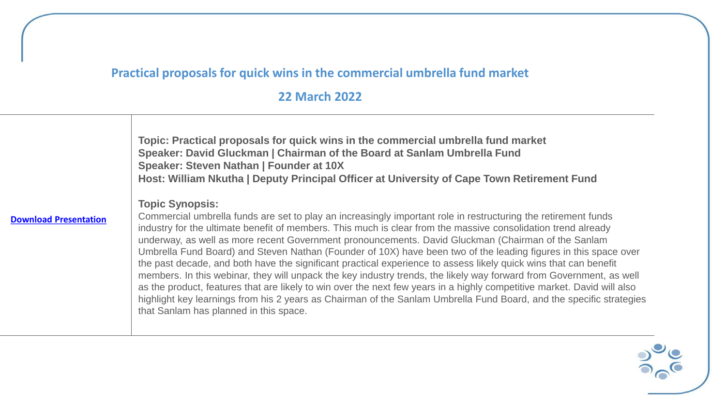# **Practical proposals for quick wins in the commercial umbrella fund market**

### **22 March 2022**

|                              | Topic: Practical proposals for quick wins in the commercial umbrella fund market<br>Speaker: David Gluckman   Chairman of the Board at Sanlam Umbrella Fund<br>Speaker: Steven Nathan   Founder at 10X<br>Host: William Nkutha   Deputy Principal Officer at University of Cape Town Retirement Fund                                                                                                                                                                                                                                                                                                                                                                                                                                                                                                                                                                                                                                                                                                                      |
|------------------------------|---------------------------------------------------------------------------------------------------------------------------------------------------------------------------------------------------------------------------------------------------------------------------------------------------------------------------------------------------------------------------------------------------------------------------------------------------------------------------------------------------------------------------------------------------------------------------------------------------------------------------------------------------------------------------------------------------------------------------------------------------------------------------------------------------------------------------------------------------------------------------------------------------------------------------------------------------------------------------------------------------------------------------|
| <b>Download Presentation</b> | <b>Topic Synopsis:</b><br>Commercial umbrella funds are set to play an increasingly important role in restructuring the retirement funds<br>industry for the ultimate benefit of members. This much is clear from the massive consolidation trend already<br>underway, as well as more recent Government pronouncements. David Gluckman (Chairman of the Sanlam<br>Umbrella Fund Board) and Steven Nathan (Founder of 10X) have been two of the leading figures in this space over<br>the past decade, and both have the significant practical experience to assess likely quick wins that can benefit<br>members. In this webinar, they will unpack the key industry trends, the likely way forward from Government, as well<br>as the product, features that are likely to win over the next few years in a highly competitive market. David will also<br>highlight key learnings from his 2 years as Chairman of the Sanlam Umbrella Fund Board, and the specific strategies<br>that Sanlam has planned in this space. |

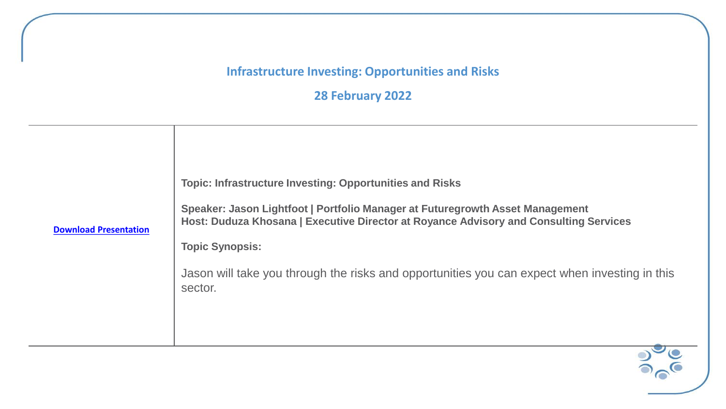#### **Infrastructure Investing: Opportunities and Risks**

**28 February 2022**



**[Download Presentation](https://0e1cb70d-72e0-4c2c-bf8b-b449f072b6a7.usrfiles.com/ugd/0e1cb7_be9f5e5b4a8a4b649e4fa65a9f342d10.pdf)**

**Topic Synopsis:**

Jason will take you through the risks and opportunities you can expect when investing in this sector.

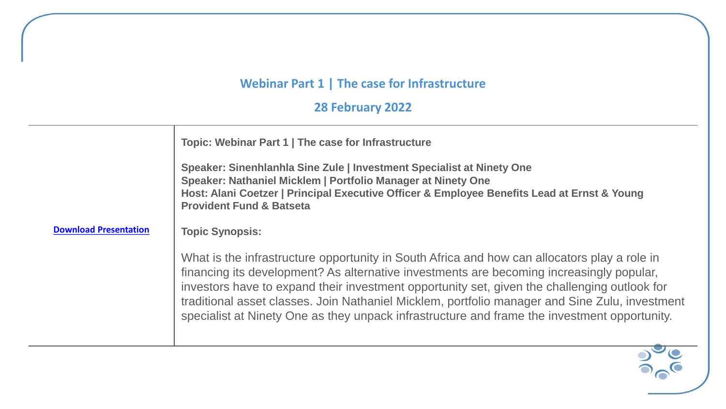# **Webinar Part 1 | The case for Infrastructure**

**28 February 2022**

|                              | Topic: Webinar Part 1   The case for Infrastructure<br>Speaker: Sinenhlanhla Sine Zule   Investment Specialist at Ninety One<br>Speaker: Nathaniel Micklem   Portfolio Manager at Ninety One<br>Host: Alani Coetzer   Principal Executive Officer & Employee Benefits Lead at Ernst & Young<br><b>Provident Fund &amp; Batseta</b>                                                                                                                                                         |
|------------------------------|--------------------------------------------------------------------------------------------------------------------------------------------------------------------------------------------------------------------------------------------------------------------------------------------------------------------------------------------------------------------------------------------------------------------------------------------------------------------------------------------|
| <b>Download Presentation</b> | <b>Topic Synopsis:</b>                                                                                                                                                                                                                                                                                                                                                                                                                                                                     |
|                              | What is the infrastructure opportunity in South Africa and how can allocators play a role in<br>financing its development? As alternative investments are becoming increasingly popular,<br>investors have to expand their investment opportunity set, given the challenging outlook for<br>traditional asset classes. Join Nathaniel Micklem, portfolio manager and Sine Zulu, investment<br>specialist at Ninety One as they unpack infrastructure and frame the investment opportunity. |

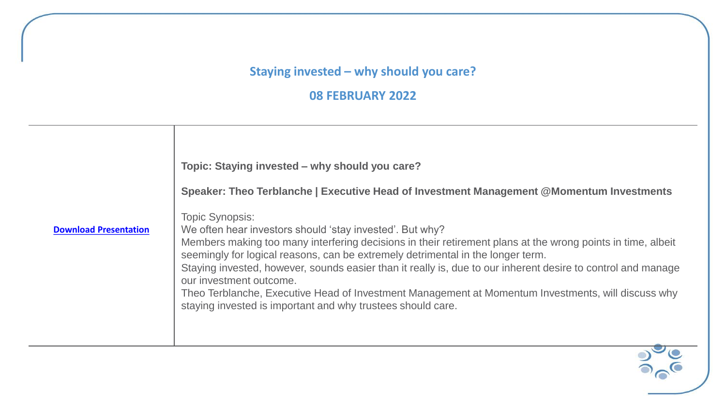#### **Staying invested – why should you care?**

**08 FEBRUARY 2022**

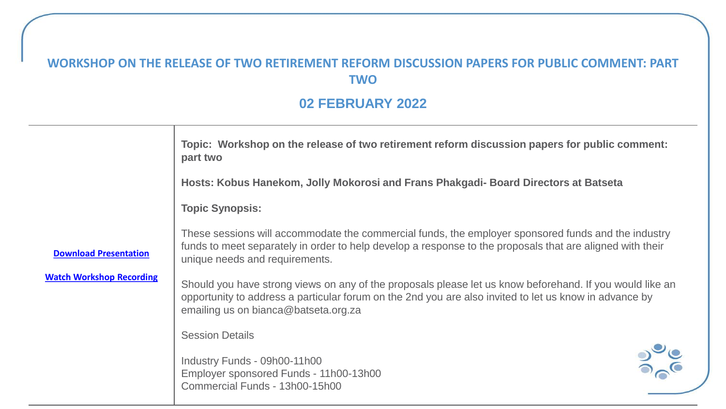## **WORKSHOP ON THE RELEASE OF TWO RETIREMENT REFORM DISCUSSION PAPERS FOR PUBLIC COMMENT: PART TWO**

## **02 FEBRUARY 2022**

| Topic: Workshop on the release of two retirement reform discussion papers for public comment:<br>part two                                                                                                                                          |                                                                                                          |
|----------------------------------------------------------------------------------------------------------------------------------------------------------------------------------------------------------------------------------------------------|----------------------------------------------------------------------------------------------------------|
| Hosts: Kobus Hanekom, Jolly Mokorosi and Frans Phakgadi- Board Directors at Batseta                                                                                                                                                                |                                                                                                          |
| <b>Topic Synopsis:</b>                                                                                                                                                                                                                             |                                                                                                          |
| These sessions will accommodate the commercial funds, the employer sponsored funds and the industry<br>funds to meet separately in order to help develop a response to the proposals that are aligned with their<br>unique needs and requirements. |                                                                                                          |
| opportunity to address a particular forum on the 2nd you are also invited to let us know in advance by<br>emailing us on bianca@batseta.org.za                                                                                                     |                                                                                                          |
| <b>Session Details</b>                                                                                                                                                                                                                             |                                                                                                          |
| Industry Funds - 09h00-11h00<br>Employer sponsored Funds - 11h00-13h00<br>Commercial Funds - 13h00-15h00                                                                                                                                           |                                                                                                          |
|                                                                                                                                                                                                                                                    | Should you have strong views on any of the proposals please let us know beforehand. If you would like an |